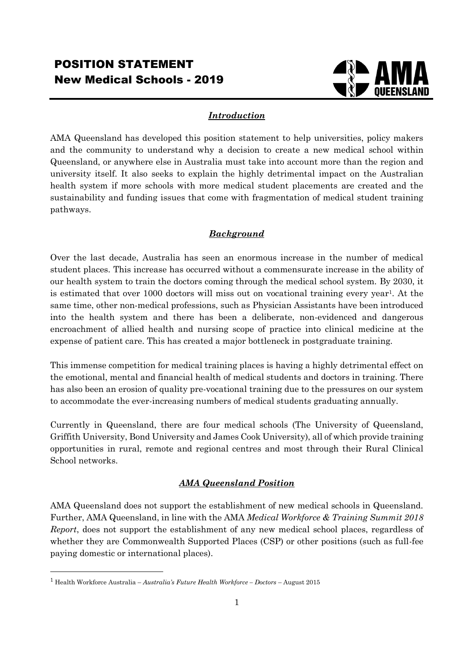

## *Introduction*

AMA Queensland has developed this position statement to help universities, policy makers and the community to understand why a decision to create a new medical school within Queensland, or anywhere else in Australia must take into account more than the region and university itself. It also seeks to explain the highly detrimental impact on the Australian health system if more schools with more medical student placements are created and the sustainability and funding issues that come with fragmentation of medical student training pathways.

## *Background*

Over the last decade, Australia has seen an enormous increase in the number of medical student places. This increase has occurred without a commensurate increase in the ability of our health system to train the doctors coming through the medical school system. By 2030, it is estimated that over 1000 doctors will miss out on vocational training every year<sup>1</sup>. At the same time, other non-medical professions, such as Physician Assistants have been introduced into the health system and there has been a deliberate, non-evidenced and dangerous encroachment of allied health and nursing scope of practice into clinical medicine at the expense of patient care. This has created a major bottleneck in postgraduate training.

This immense competition for medical training places is having a highly detrimental effect on the emotional, mental and financial health of medical students and doctors in training. There has also been an erosion of quality pre-vocational training due to the pressures on our system to accommodate the ever-increasing numbers of medical students graduating annually.

Currently in Queensland, there are four medical schools (The University of Queensland, Griffith University, Bond University and James Cook University), all of which provide training opportunities in rural, remote and regional centres and most through their Rural Clinical School networks.

# *AMA Queensland Position*

AMA Queensland does not support the establishment of new medical schools in Queensland. Further, AMA Queensland, in line with the AMA *Medical Workforce & Training Summit 2018 Report*, does not support the establishment of any new medical school places, regardless of whether they are Commonwealth Supported Places (CSP) or other positions (such as full-fee paying domestic or international places).

<sup>1</sup> Health Workforce Australia – *Australia's Future Health Workforce – Doctors* – August 2015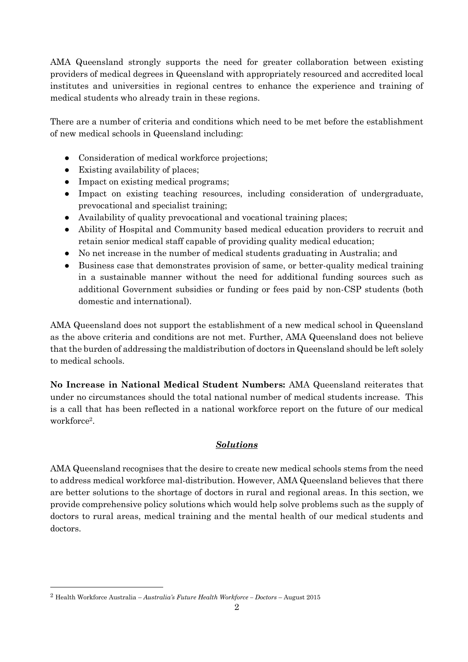AMA Queensland strongly supports the need for greater collaboration between existing providers of medical degrees in Queensland with appropriately resourced and accredited local institutes and universities in regional centres to enhance the experience and training of medical students who already train in these regions.

There are a number of criteria and conditions which need to be met before the establishment of new medical schools in Queensland including:

- Consideration of medical workforce projections;
- Existing availability of places;
- Impact on existing medical programs;
- Impact on existing teaching resources, including consideration of undergraduate, prevocational and specialist training;
- Availability of quality prevocational and vocational training places;
- Ability of Hospital and Community based medical education providers to recruit and retain senior medical staff capable of providing quality medical education;
- No net increase in the number of medical students graduating in Australia; and
- Business case that demonstrates provision of same, or better-quality medical training in a sustainable manner without the need for additional funding sources such as additional Government subsidies or funding or fees paid by non-CSP students (both domestic and international).

AMA Queensland does not support the establishment of a new medical school in Queensland as the above criteria and conditions are not met. Further, AMA Queensland does not believe that the burden of addressing the maldistribution of doctors in Queensland should be left solely to medical schools.

**No Increase in National Medical Student Numbers:** AMA Queensland reiterates that under no circumstances should the total national number of medical students increase. This is a call that has been reflected in a national workforce report on the future of our medical workforce<sup>2</sup> .

# *Solutions*

AMA Queensland recognises that the desire to create new medical schools stems from the need to address medical workforce mal-distribution. However, AMA Queensland believes that there are better solutions to the shortage of doctors in rural and regional areas. In this section, we provide comprehensive policy solutions which would help solve problems such as the supply of doctors to rural areas, medical training and the mental health of our medical students and doctors.

<sup>2</sup> Health Workforce Australia – *Australia's Future Health Workforce – Doctors* – August 2015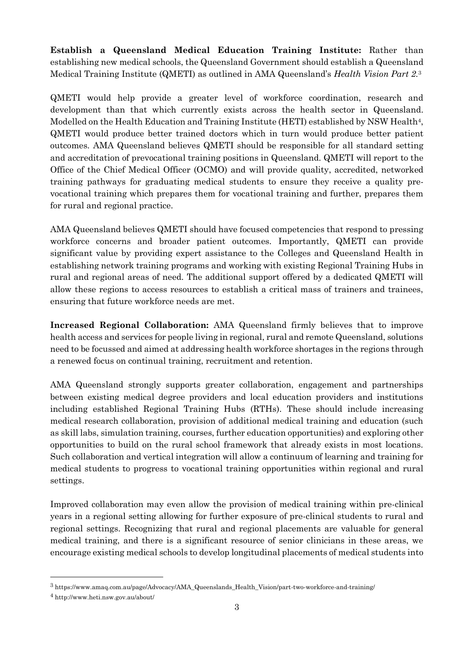**Establish a Queensland Medical Education Training Institute:** Rather than establishing new medical schools, the Queensland Government should establish a Queensland Medical Training Institute (QMETI) as outlined in AMA Queensland's *Health Vision Part 2.*<sup>3</sup>

QMETI would help provide a greater level of workforce coordination, research and development than that which currently exists across the health sector in Queensland. Modelled on the Health Education and Training Institute (HETI) established by NSW Health<sup>4</sup>, QMETI would produce better trained doctors which in turn would produce better patient outcomes. AMA Queensland believes QMETI should be responsible for all standard setting and accreditation of prevocational training positions in Queensland. QMETI will report to the Office of the Chief Medical Officer (OCMO) and will provide quality, accredited, networked training pathways for graduating medical students to ensure they receive a quality prevocational training which prepares them for vocational training and further, prepares them for rural and regional practice.

AMA Queensland believes QMETI should have focused competencies that respond to pressing workforce concerns and broader patient outcomes. Importantly, QMETI can provide significant value by providing expert assistance to the Colleges and Queensland Health in establishing network training programs and working with existing Regional Training Hubs in rural and regional areas of need. The additional support offered by a dedicated QMETI will allow these regions to access resources to establish a critical mass of trainers and trainees, ensuring that future workforce needs are met.

**Increased Regional Collaboration:** AMA Queensland firmly believes that to improve health access and services for people living in regional, rural and remote Queensland, solutions need to be focussed and aimed at addressing health workforce shortages in the regions through a renewed focus on continual training, recruitment and retention.

AMA Queensland strongly supports greater collaboration, engagement and partnerships between existing medical degree providers and local education providers and institutions including established Regional Training Hubs (RTHs). These should include increasing medical research collaboration, provision of additional medical training and education (such as skill labs, simulation training, courses, further education opportunities) and exploring other opportunities to build on the rural school framework that already exists in most locations. Such collaboration and vertical integration will allow a continuum of learning and training for medical students to progress to vocational training opportunities within regional and rural settings.

Improved collaboration may even allow the provision of medical training within pre-clinical years in a regional setting allowing for further exposure of pre-clinical students to rural and regional settings. Recognizing that rural and regional placements are valuable for general medical training, and there is a significant resource of senior clinicians in these areas, we encourage existing medical schools to develop longitudinal placements of medical students into

<sup>3</sup> https://www.amaq.com.au/page/Advocacy/AMA\_Queenslands\_Health\_Vision/part-two-workforce-and-training/

<sup>4</sup> http://www.heti.nsw.gov.au/about/